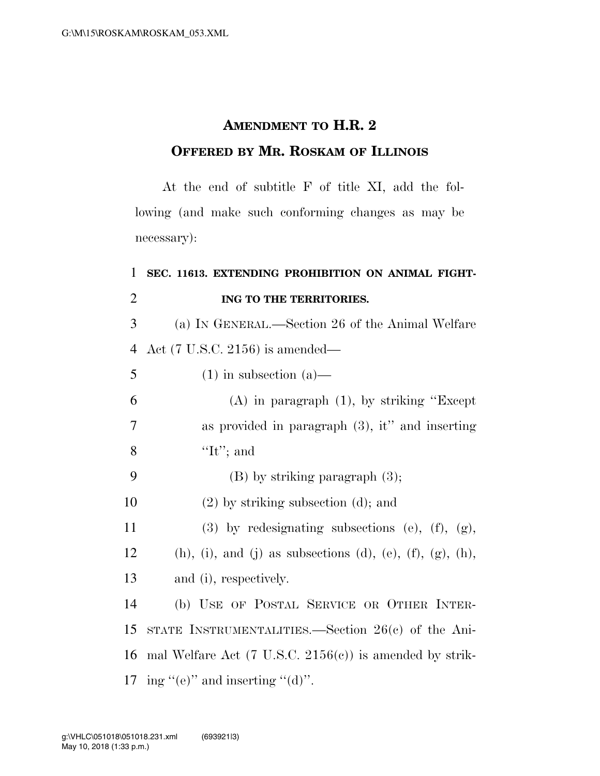## **AMENDMENT TO H.R. 2 OFFERED BY MR. ROSKAM OF ILLINOIS**

At the end of subtitle F of title XI, add the following (and make such conforming changes as may be necessary):

## 1 **SEC. 11613. EXTENDING PROHIBITION ON ANIMAL FIGHT-**2 **ING TO THE TERRITORIES.**

3 (a) IN GENERAL.—Section 26 of the Animal Welfare 4 Act (7 U.S.C. 2156) is amended—

6 (A) in paragraph (1), by striking ''Except 7 as provided in paragraph (3), it'' and inserting 8  $\langle \text{It'};\text{ and}\rangle$ 

9 (B) by striking paragraph  $(3)$ ; 10 (2) by striking subsection (d); and

 $5 \t(1)$  in subsection (a)—

11 (3) by redesignating subsections (e),  $(f)$ ,  $(g)$ ,

12 (h), (i), and (j) as subsections (d), (e), (f), (g), (h),

13 and (i), respectively.

 (b) USE OF POSTAL SERVICE OR OTHER INTER- STATE INSTRUMENTALITIES.—Section 26(c) of the Ani- mal Welfare Act (7 U.S.C. 2156(c)) is amended by strik-17 ing  $(^\prime$ (e)" and inserting  $(^\prime$ (d)".